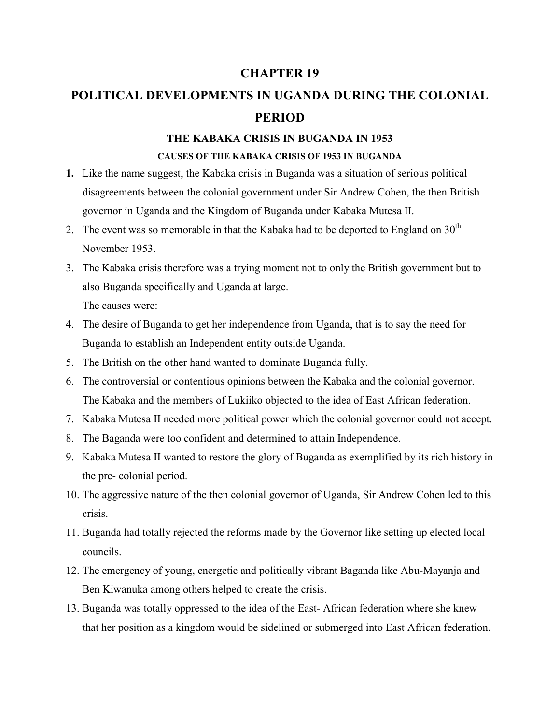#### **CHAPTER 19**

# **POLITICAL DEVELOPMENTS IN UGANDA DURING THE COLONIAL PERIOD**

## **THE KABAKA CRISIS IN BUGANDA IN 1953 CAUSES OF THE KABAKA CRISIS OF 1953 IN BUGANDA**

- **1.** Like the name suggest, the Kabaka crisis in Buganda was a situation of serious political disagreements between the colonial government under Sir Andrew Cohen, the then British governor in Uganda and the Kingdom of Buganda under Kabaka Mutesa II.
- 2. The event was so memorable in that the Kabaka had to be deported to England on  $30<sup>th</sup>$ November 1953.
- 3. The Kabaka crisis therefore was a trying moment not to only the British government but to also Buganda specifically and Uganda at large. The causes were:

4. The desire of Buganda to get her independence from Uganda, that is to say the need for

Buganda to establish an Independent entity outside Uganda.

- 5. The British on the other hand wanted to dominate Buganda fully.
- 6. The controversial or contentious opinions between the Kabaka and the colonial governor. The Kabaka and the members of Lukiiko objected to the idea of East African federation.
- 7. Kabaka Mutesa II needed more political power which the colonial governor could not accept.
- 8. The Baganda were too confident and determined to attain Independence.
- 9. Kabaka Mutesa II wanted to restore the glory of Buganda as exemplified by its rich history in the pre- colonial period.
- 10. The aggressive nature of the then colonial governor of Uganda, Sir Andrew Cohen led to this crisis.
- 11. Buganda had totally rejected the reforms made by the Governor like setting up elected local councils.
- 12. The emergency of young, energetic and politically vibrant Baganda like Abu-Mayanja and Ben Kiwanuka among others helped to create the crisis.
- 13. Buganda was totally oppressed to the idea of the East- African federation where she knew that her position as a kingdom would be sidelined or submerged into East African federation.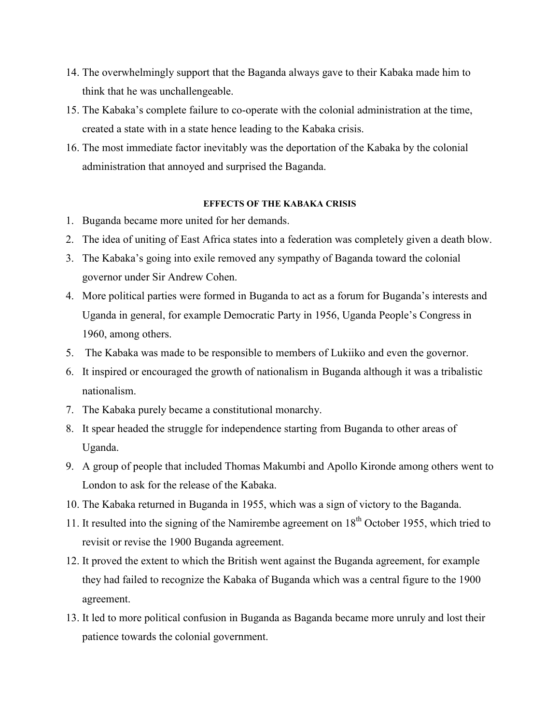- 14. The overwhelmingly support that the Baganda always gave to their Kabaka made him to think that he was unchallengeable.
- 15. The Kabaka's complete failure to co-operate with the colonial administration at the time, created a state with in a state hence leading to the Kabaka crisis.
- 16. The most immediate factor inevitably was the deportation of the Kabaka by the colonial administration that annoyed and surprised the Baganda.

#### **EFFECTS OF THE KABAKA CRISIS**

- 1. Buganda became more united for her demands.
- 2. The idea of uniting of East Africa states into a federation was completely given a death blow.
- 3. The Kabaka's going into exile removed any sympathy of Baganda toward the colonial governor under Sir Andrew Cohen.
- 4. More political parties were formed in Buganda to act as a forum for Buganda's interests and Uganda in general, for example Democratic Party in 1956, Uganda People's Congress in 1960, among others.
- 5. The Kabaka was made to be responsible to members of Lukiiko and even the governor.
- 6. It inspired or encouraged the growth of nationalism in Buganda although it was a tribalistic nationalism.
- 7. The Kabaka purely became a constitutional monarchy.
- 8. It spear headed the struggle for independence starting from Buganda to other areas of Uganda.
- 9. A group of people that included Thomas Makumbi and Apollo Kironde among others went to London to ask for the release of the Kabaka.
- 10. The Kabaka returned in Buganda in 1955, which was a sign of victory to the Baganda.
- 11. It resulted into the signing of the Namirembe agreement on  $18<sup>th</sup>$  October 1955, which tried to revisit or revise the 1900 Buganda agreement.
- 12. It proved the extent to which the British went against the Buganda agreement, for example they had failed to recognize the Kabaka of Buganda which was a central figure to the 1900 agreement.
- 13. It led to more political confusion in Buganda as Baganda became more unruly and lost their patience towards the colonial government.